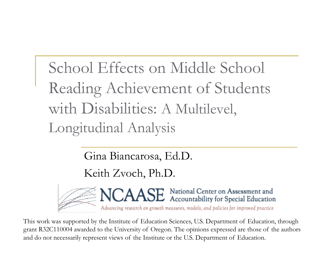School Effects on Middle School Reading Achievement of Students with Disabilities: A Multilevel, Longitudinal Analysis

Gina Biancarosa, Ed.D.

Keith Zvoch, Ph.D.



This work was supported by the Institute of Education Sciences, U.S. Department of Education, through grant R32C110004 awarded to the University of Oregon. The opinions expressed are those of the authors and do not necessarily represent views of the Institute or the U.S. Department of Education.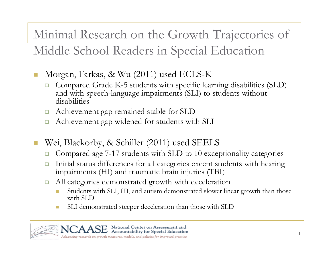Minimal Research on the Growth Trajectories of Middle School Readers in Special Education

- $\mathbb{R}^3$  Morgan, Farkas, & Wu (2011) used ECLS-K
	- ❏ Compared Grade K-5 students with specific learning disabilities (SLD) and with speech-language impairments (SLI) to students without disabilities
	- $\square$ Achievement gap remained stable for SLD
	- $\Box$ Achievement gap widened for students with SLI
- $\mathbb{R}^3$  Wei, Blackorby, & Schiller (2011) used SEELS
	- ❏ Compared age 7-17 students with SLD to 10 exceptionality categories
	- $\Box$  Initial status differences for all categories except students with hearing impairments (HI) and traumatic brain injuries (TBI)
	- ❏ All categories demonstrated growth with deceleration
		- Students with SLI, HI, and autism demonstrated slower linear growth than those with SLD
		- SLI demonstrated steeper deceleration than those with SLD

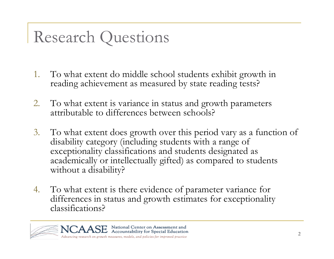### Research Questions

- 1. To what extent do middle school students exhibit growth in reading achievement as measured by state reading tests?
- 2. To what extent is variance in status and growth parameters attributable to differences between schools?
- 3. To what extent does growth over this period vary as a function of disability category (including students with a range of exceptionality classifications and students designated as academically or intellectually gifted) as compared to students without a disability?
- 4. To what extent is there evidence of parameter variance for differences in status and growth estimates for exceptionality classifications?

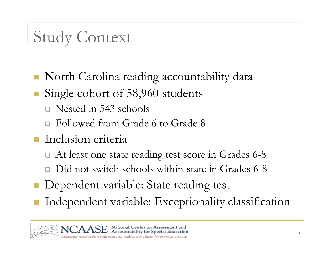# Study Context

- North Carolina reading accountability data
- Single cohort of 58,960 students
	- Nested in 543 schools
	- Followed from Grade 6 to Grade 8
- **Inclusion criteria** 
	- At least one state reading test score in Grades 6-8
	- ❏ Did not switch schools within-state in Grades 6-8
- Dependent variable: State reading test
- Independent variable: Exceptionality classification

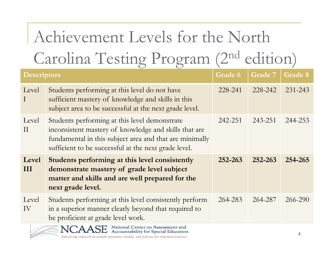# Achievement Levels for the North Carolina Testing Program (2nd edition)

| <b>Descriptors</b> |                                                                                                                                                                                                                           | <b>Grade 6</b> | <b>Grade 7</b> | Grade 8 |
|--------------------|---------------------------------------------------------------------------------------------------------------------------------------------------------------------------------------------------------------------------|----------------|----------------|---------|
| Level<br>$\bf{I}$  | Students performing at this level do not have<br>sufficient mastery of knowledge and skills in this<br>subject area to be successful at the next grade level.                                                             | 228-241        | 228-242        | 231-243 |
| Level<br>$\rm II$  | Students performing at this level demonstrate<br>inconsistent mastery of knowledge and skills that are<br>fundamental in this subject area and that are minimally<br>sufficient to be successful at the next grade level. | 242-251        | 243-251        | 244-253 |
| Level<br>III       | Students performing at this level consistently<br>demonstrate mastery of grade level subject<br>matter and skills and are well prepared for the<br>next grade level.                                                      | 252-263        | 252-263        | 254-265 |
| Level<br>IV        | Students performing at this level consistently perform<br>in a superior manner clearly beyond that required to<br>be proficient at grade level work.                                                                      | 264-283        | 264-287        | 266-290 |
|                    | NCAASE National Center on Assessment and<br>ACAASE Accountability for Special Education                                                                                                                                   |                |                |         |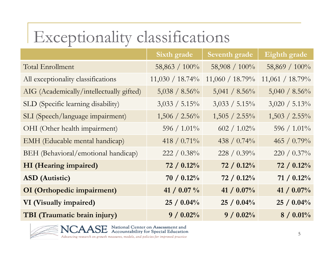# Exceptionality classifications

|                                          | <b>Sixth grade</b> | Seventh grade    | Eighth grade     |
|------------------------------------------|--------------------|------------------|------------------|
| Total Enrollment                         | 58,863 / 100%      | 58,908 / 100%    | 58,869 / 100%    |
| All exceptionality classifications       | $11,030 / 18.74\%$ | 11,060 / 18.79%  | 11,061 / 18.79%  |
| AIG (Academically/intellectually gifted) | $5,038 / 8.56\%$   | $5,041 / 8.56\%$ | $5,040 / 8.56\%$ |
| SLD (Specific learning disability)       | $3,033 / 5.15\%$   | $3,033 / 5.15\%$ | $3,020 / 5.13\%$ |
| SLI (Speech/language impairment)         | $1,506 / 2.56\%$   | $1,505 / 2.55\%$ | $1,503 / 2.55\%$ |
| OHI (Other health impairment)            | $596$ / $1.01\%$   | $602$ / $1.02\%$ | $596$ / $1.01\%$ |
| EMH (Educable mental handicap)           | 418 / 0.71%        | 438 / 0.74%      | 465 / $0.79\%$   |
| BEH (Behavioral/emotional handicap)      | $222 / 0.38\%$     | 228 / $0.39\%$   | $220 / 0.37\%$   |
| HI (Hearing impaired)                    | 72 / 0.12%         | 72 / 0.12%       | 72 / 0.12%       |
| <b>ASD</b> (Autistic)                    | $70 / 0.12\%$      | $72 / 0.12\%$    | 71/0.12%         |
| OI (Orthopedic impairment)               | 41 / 0.07 %        | 41 / 0.07%       | 41 / 0.07%       |
| VI (Visually impaired)                   | $25 / 0.04\%$      | $25 / 0.04\%$    | 25 / 0.04%       |
| TBI (Traumatic brain injury)             | 9/0.02%            | 9/0.02%          | $8 / 0.01\%$     |



**SE** National Center on Assessment and<br>**SE** Accountability for Special Education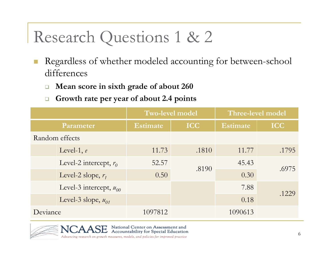### Research Questions 1 & 2

- $\mathbb{R}^2$  Regardless of whether modeled accounting for between-school differences
	- $\Box$ **Mean score in sixth grade of about 260**
	- $\Box$ **Growth rate per year of about 2.4 points**

|           |                             | <b>Two-level model</b> |            | Three-level model |            |  |
|-----------|-----------------------------|------------------------|------------|-------------------|------------|--|
| Parameter |                             | <b>Estimate</b>        | <b>ICC</b> | <b>Estimate</b>   | <b>ICC</b> |  |
|           | Random effects              |                        |            |                   |            |  |
|           | Level-1, $e$                | 11.73                  | .1810      | 11.77             | .1795      |  |
|           | Level-2 intercept, $r_0$    | 52.57                  | .8190      | 45.43             | .6975      |  |
|           | Level-2 slope, $r_1$        | 0.50                   |            | 0.30              |            |  |
|           | Level-3 intercept, $u_{00}$ |                        |            | 7.88              | .1229      |  |
|           | Level-3 slope, $u_{01}$     |                        |            | 0.18              |            |  |
| Deviance  |                             | 1097812                |            | 1090613           |            |  |



National Center on Assessment and<br>Accountability for Special Education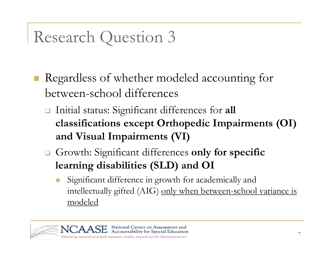### Research Question 3

- Regardless of whether modeled accounting for between-school differences
	- Initial status: Significant differences for **all classifications except Orthopedic Impairments (OI) and Visual Impairments (VI)**
	- Growth: Significant differences **only for specific learning disabilities (SLD) and OI**
		- Significant difference in growth for academically and intellectually gifted (AIG) only when between-school variance is modeled

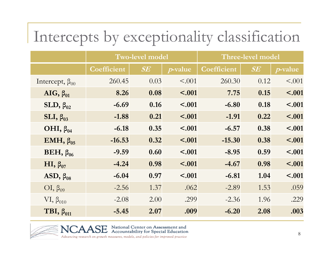|                         |             | <b>Two-level model</b> |                 |             | Three-level model |                 |
|-------------------------|-------------|------------------------|-----------------|-------------|-------------------|-----------------|
|                         | Coefficient | SE                     | <i>p</i> -value | Coefficient | $\pmb{SE}$        | <i>p</i> -value |
| Intercept, $\beta_{00}$ | 260.45      | 0.03                   | < 0.001         | 260.30      | 0.12              | < .001          |
| $AIG, \beta_{01}$       | 8.26        | 0.08                   | < .001          | 7.75        | 0.15              | < .001          |
| SLD, $\beta_{02}$       | $-6.69$     | 0.16                   | < .001          | $-6.80$     | 0.18              | $-.001$         |
| SLI, $\beta_{03}$       | $-1.88$     | 0.21                   | < .001          | $-1.91$     | 0.22              | $-.001$         |
| OHI, $\beta_{04}$       | $-6.18$     | 0.35                   | < .001          | $-6.57$     | 0.38              | < .001          |
| EMH, $\beta_{05}$       | $-16.53$    | 0.32                   | < .001          | $-15.30$    | 0.38              | < .001          |
| BEH, $\beta_{06}$       | $-9.59$     | 0.60                   | < .001          | $-8.95$     | 0.59              | < .001          |
| HI, $\beta_{07}$        | $-4.24$     | 0.98                   | < .001          | $-4.67$     | 0.98              | $-.001$         |
| ASD, $\beta_{08}$       | $-6.04$     | 0.97                   | < .001          | $-6.81$     | 1.04              | < .001          |
| $\text{OI}, \beta_{09}$ | $-2.56$     | 1.37                   | .062            | $-2.89$     | 1.53              | .059            |
| $VI, \beta_{010}$       | $-2.08$     | 2.00                   | .299            | $-2.36$     | 1.96              | .229            |
| TBI, $\beta_{011}$      | $-5.45$     | 2.07                   | .009            | $-6.20$     | 2.08              | .003            |



 $E$  National Center on Assessment and<br> $E$  Accountability for Special Education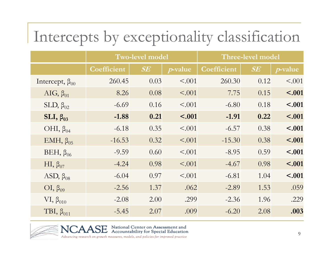|                         | <b>Two-level model</b> |           |                 |             | Three-level model |                 |
|-------------------------|------------------------|-----------|-----------------|-------------|-------------------|-----------------|
|                         | Coefficient            | $\bm{SE}$ | <i>p</i> -value | Coefficient | SE                | <i>p</i> -value |
| Intercept, $\beta_{00}$ | 260.45                 | 0.03      | < 0.001         | 260.30      | 0.12              | < .001          |
| AIG, $\beta_{01}$       | 8.26                   | 0.08      | < .001          | 7.75        | 0.15              | < .001          |
| $SLD, \beta_{02}$       | $-6.69$                | 0.16      | < 0.001         | $-6.80$     | 0.18              | $-.001$         |
| SLI, $\beta_{03}$       | $-1.88$                | 0.21      | < .001          | $-1.91$     | 0.22              | $-.001$         |
| OHI, $\beta_{04}$       | $-6.18$                | 0.35      | < .001          | $-6.57$     | 0.38              | $-.001$         |
| EMH, $\beta_{05}$       | $-16.53$               | 0.32      | < .001          | $-15.30$    | 0.38              | $-.001$         |
| BEH, $\beta_{06}$       | $-9.59$                | 0.60      | < 0.001         | $-8.95$     | 0.59              | $-.001$         |
| HI, $\beta_{07}$        | $-4.24$                | 0.98      | $\leq 0.001$    | $-4.67$     | 0.98              | < .001          |
| ASD, $\beta_{08}$       | $-6.04$                | 0.97      | < .001          | $-6.81$     | 1.04              | $-.001$         |
| $OI, \beta_{09}$        | $-2.56$                | 1.37      | .062            | $-2.89$     | 1.53              | .059            |
| $VI, \beta_{010}$       | $-2.08$                | 2.00      | .299            | $-2.36$     | 1.96              | .229            |
| TBI, $\beta_{011}$      | $-5.45$                | 2.07      | .009            | $-6.20$     | 2.08              | .003            |



 $E$  National Center on Assessment and<br>Accountability for Special Education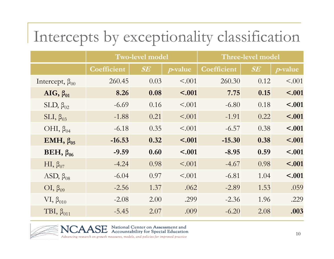|                         | <b>Two-level model</b> |      |                 |             | Three-level model |                 |
|-------------------------|------------------------|------|-----------------|-------------|-------------------|-----------------|
|                         | Coefficient            | SE   | <i>p</i> -value | Coefficient | $\pmb{SE}$        | <i>p</i> -value |
| Intercept, $\beta_{00}$ | 260.45                 | 0.03 | < 0.001         | 260.30      | 0.12              | < .001          |
| AIG, $\beta_{01}$       | 8.26                   | 0.08 | < .001          | 7.75        | 0.15              | < .001          |
| $SLD, \beta_{02}$       | $-6.69$                | 0.16 | < 0.001         | $-6.80$     | 0.18              | < .001          |
| $SLI, \beta_{03}$       | $-1.88$                | 0.21 | < .001          | $-1.91$     | 0.22              | $-.001$         |
| OHI, $\beta_{04}$       | $-6.18$                | 0.35 | < .001          | $-6.57$     | 0.38              | $-.001$         |
| EMH, $\beta_{05}$       | $-16.53$               | 0.32 | < .001          | $-15.30$    | 0.38              | $-.001$         |
| BEH, $\beta_{06}$       | $-9.59$                | 0.60 | < .001          | $-8.95$     | 0.59              | < .001          |
| HI, $\beta_{07}$        | $-4.24$                | 0.98 | < .001          | $-4.67$     | 0.98              | < .001          |
| ASD, $\beta_{08}$       | $-6.04$                | 0.97 | < .001          | $-6.81$     | 1.04              | $-.001$         |
| $OI, \beta_{09}$        | $-2.56$                | 1.37 | .062            | $-2.89$     | 1.53              | .059            |
| $VI, \beta_{010}$       | $-2.08$                | 2.00 | .299            | $-2.36$     | 1.96              | .229            |
| TBI, $\beta_{011}$      | $-5.45$                | 2.07 | .009            | $-6.20$     | 2.08              | .003            |



 $E$  National Center on Assessment and<br>Accountability for Special Education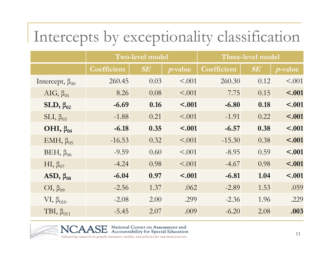|                         | <b>Two-level model</b> |      |                 |             | Three-level model |                 |
|-------------------------|------------------------|------|-----------------|-------------|-------------------|-----------------|
|                         | Coefficient            | SE   | <i>p</i> -value | Coefficient | $\pmb{SE}$        | <i>p</i> -value |
| Intercept, $\beta_{00}$ | 260.45                 | 0.03 | < 0.001         | 260.30      | 0.12              | < .001          |
| AIG, $\beta_{01}$       | 8.26                   | 0.08 | $\leq 0.001$    | 7.75        | 0.15              | < .001          |
| $SLD, \beta_{02}$       | $-6.69$                | 0.16 | < .001          | $-6.80$     | 0.18              | < .001          |
| $SLI, \beta_{03}$       | $-1.88$                | 0.21 | $\leq 0.001$    | $-1.91$     | 0.22              | $-.001$         |
| OHI, $\beta_{04}$       | $-6.18$                | 0.35 | < .001          | $-6.57$     | 0.38              | $-.001$         |
| EMH, $\beta_{05}$       | $-16.53$               | 0.32 | < .001          | $-15.30$    | 0.38              | $-.001$         |
| BEH, $\beta_{06}$       | $-9.59$                | 0.60 | < 0.001         | $-8.95$     | 0.59              | $-.001$         |
| HI, $\beta_{07}$        | $-4.24$                | 0.98 | < .001          | $-4.67$     | 0.98              | $-.001$         |
| ASD, $\beta_{08}$       | $-6.04$                | 0.97 | < .001          | $-6.81$     | 1.04              | < .001          |
| $OI, \beta_{09}$        | $-2.56$                | 1.37 | .062            | $-2.89$     | 1.53              | .059            |
| $VI, \beta_{010}$       | $-2.08$                | 2.00 | .299            | $-2.36$     | 1.96              | .229            |
| TBI, $\beta_{011}$      | $-5.45$                | 2.07 | .009            | $-6.20$     | 2.08              | .003            |



 $E$  National Center on Assessment and<br>Accountability for Special Education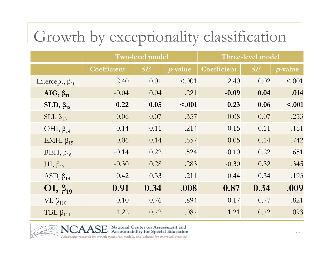### Growth by exceptionality classification

|                         | <b>Two-level model</b> |      |                 |             | Three-level model |                 |
|-------------------------|------------------------|------|-----------------|-------------|-------------------|-----------------|
|                         | Coefficient            | SE   | <i>p</i> -value | Coefficient | $\pmb{SE}$        | <i>p</i> -value |
| Intercept, $\beta_{10}$ | 2.40                   | 0.01 | < .001          | 2.40        | 0.02              | < .001          |
| AIG, $\beta_{11}$       | $-0.04$                | 0.04 | .221            | $-0.09$     | 0.04              | .014            |
| SLD, $\beta_{12}$       | 0.22                   | 0.05 | < .001          | 0.23        | 0.06              | $-.001$         |
| $SLI, \beta_{13}$       | 0.06                   | 0.07 | .357            | 0.08        | 0.07              | .253            |
| OHI, $\beta_{14}$       | $-0.14$                | 0.11 | .214            | $-0.15$     | 0.11              | .161            |
| EMH, $\beta_{15}$       | $-0.06$                | 0.14 | .657            | $-0.05$     | 0.14              | .742            |
| BEH, $\beta_{16}$       | $-0.14$                | 0.22 | .524            | $-0.10$     | 0.22              | .651            |
| HI, $\beta_{17}$        | $-0.30$                | 0.28 | .283            | $-0.30$     | 0.32              | .345            |
| ASD, $\beta_{18}$       | 0.42                   | 0.33 | .211            | 0.44        | 0.34              | .193            |
| $OI, \beta_{19}$        | 0.91                   | 0.34 | .008            | 0.87        | 0.34              | .009            |
| $VI, \beta_{110}$       | 0.10                   | 0.76 | .894            | 0.17        | 0.77              | .821            |
| TBI, $\beta_{111}$      | 1.22                   | 0.72 | .087            | 1.21        | 0.72              | .093            |



 $\rm SE$  National Center on Assessment and<br> $\rm SE$  Accountability for Special Education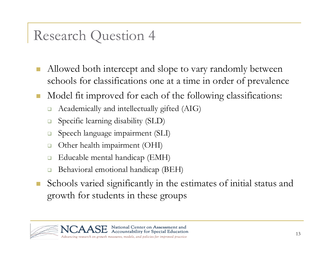#### Research Question 4

- $\mathcal{C}^{\mathcal{A}}$  Allowed both intercept and slope to vary randomly between schools for classifications one at a time in order of prevalence
- Model fit improved for each of the following classifications:
	- ❏ Academically and intellectually gifted (AIG)
	- $\Box$ Specific learning disability (SLD)
	- $\Box$ Speech language impairment (SLI)
	- $\Box$ Other health impairment (OHI)
	- $\Box$ Educable mental handicap (EMH)
	- ❏ Behavioral emotional handicap (BEH)
- Schools varied significantly in the estimates of initial status and growth for students in these groups

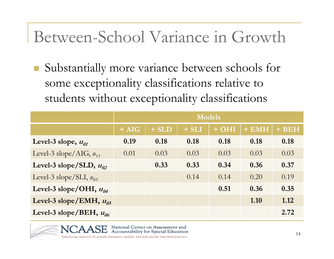#### Between-School Variance in Growth

 $\mathcal{L}_{\mathcal{A}}$  Substantially more variance between schools for some exceptionality classifications relative to students without exceptionality classifications

|                                      | <b>Models</b> |         |         |       |       |       |  |  |  |
|--------------------------------------|---------------|---------|---------|-------|-------|-------|--|--|--|
|                                      | $+ AIG$       | $+$ SLD | $+ SLI$ | + OHI | + EMH | + BEH |  |  |  |
| Level-3 slope, $u_{01}$              | 0.19          | 0.18    | 0.18    | 0.18  | 0.18  | 0.18  |  |  |  |
| Level-3 slope/AIG, $u_{11}$          | 0.01          | 0.03    | 0.03    | 0.03  | 0.03  | 0.03  |  |  |  |
| Level-3 slope/SLD, $u_{02}$          |               | 0.33    | 0.33    | 0.34  | 0.36  | 0.37  |  |  |  |
| Level-3 slope/SLI, $u_{03}$          |               |         | 0.14    | 0.14  | 0.20  | 0.19  |  |  |  |
| Level-3 slope/OHI, $u_{04}$          |               |         |         | 0.51  | 0.36  | 0.35  |  |  |  |
| Level-3 slope/EMH, $u_{05}$          |               |         |         |       | 1.10  | 1.12  |  |  |  |
| Level-3 slope/BEH, $u_{\alpha\beta}$ |               |         |         |       |       | 2.72  |  |  |  |

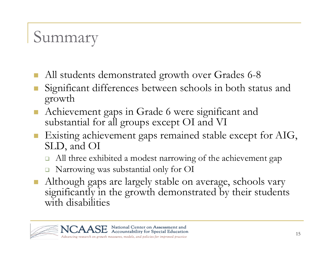## Summary

- All students demonstrated growth over Grades 6-8
- P. Significant differences between schools in both status and growth
- $\mathbb{R}^3$  Achievement gaps in Grade 6 were significant and substantial for all groups except OI and VI
- Existing achievement gaps remained stable except for AIG, SLD, and OI
	- $\Box$ All three exhibited a modest narrowing of the achievement gap
	- $\Box$ Narrowing was substantial only for OI
- $\mathcal{L}^{\text{max}}_{\text{max}}$  Although gaps are largely stable on average, schools vary significantly in the growth demonstrated by their students with disabilities

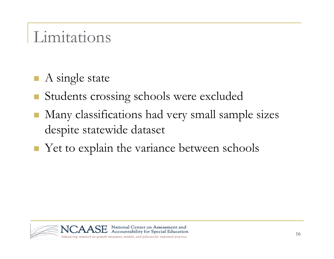### Limitations

- A single state
- Students crossing schools were excluded
- $\mathbb{R}^3$  Many classifications had very small sample sizes despite statewide dataset
- Yet to explain the variance between schools